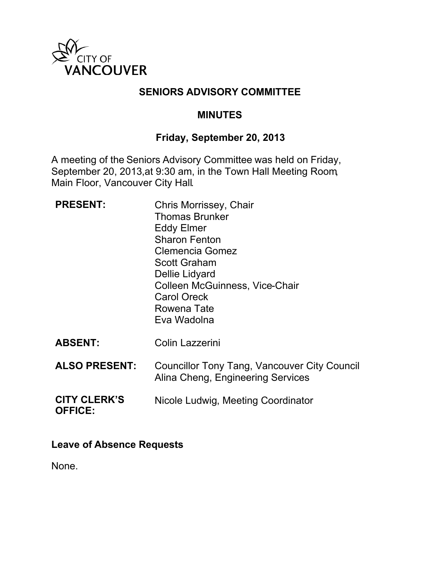

### **SENIORS ADVISORY COMMITTEE**

#### **MINUTES**

#### **Friday, September 20, 2013**

A meeting of the Seniors Advisory Committee was held on Friday, September 20, 2013,at 9:30 am, in the Town Hall Meeting Room, Main Floor, Vancouver City Hall.

| <b>PRESENT:</b>                       | Chris Morrissey, Chair<br><b>Thomas Brunker</b><br><b>Eddy Elmer</b><br><b>Sharon Fenton</b><br><b>Clemencia Gomez</b><br><b>Scott Graham</b><br>Dellie Lidyard<br>Colleen McGuinness, Vice-Chair<br><b>Carol Oreck</b><br>Rowena Tate<br>Eva Wadolna |
|---------------------------------------|-------------------------------------------------------------------------------------------------------------------------------------------------------------------------------------------------------------------------------------------------------|
| <b>ABSENT:</b>                        | Colin Lazzerini                                                                                                                                                                                                                                       |
| <b>ALSO PRESENT:</b>                  | Councillor Tony Tang, Vancouver City Council<br>Alina Cheng, Engineering Services                                                                                                                                                                     |
| <b>CITY CLERK'S</b><br><b>OFFICE:</b> | Nicole Ludwig, Meeting Coordinator                                                                                                                                                                                                                    |

#### **Leave of Absence Requests**

None.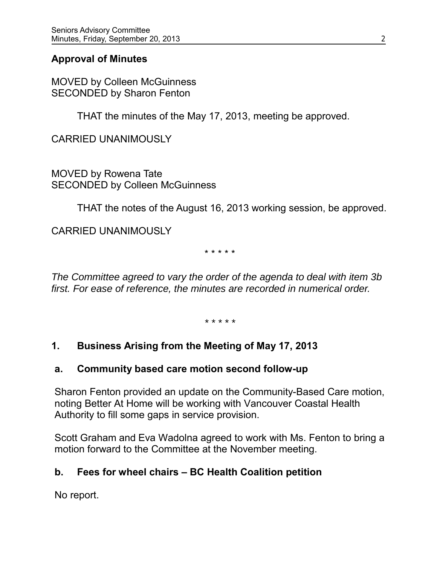### **Approval of Minutes**

MOVED by Colleen McGuinness SECONDED by Sharon Fenton

THAT the minutes of the May 17, 2013, meeting be approved.

CARRIED UNANIMOUSLY

MOVED by Rowena Tate SECONDED by Colleen McGuinness

THAT the notes of the August 16, 2013 working session, be approved.

CARRIED UNANIMOUSLY

\* \* \* \* \*

*The Committee agreed to vary the order of the agenda to deal with item 3b first. For ease of reference, the minutes are recorded in numerical order.*

*\* \* \* \* \**

### **1. Business Arising from the Meeting of May 17, 2013**

#### **a. Community based care motion second follow-up**

Sharon Fenton provided an update on the Community-Based Care motion, noting Better At Home will be working with Vancouver Coastal Health Authority to fill some gaps in service provision.

Scott Graham and Eva Wadolna agreed to work with Ms. Fenton to bring a motion forward to the Committee at the November meeting.

### **b. Fees for wheel chairs – BC Health Coalition petition**

No report.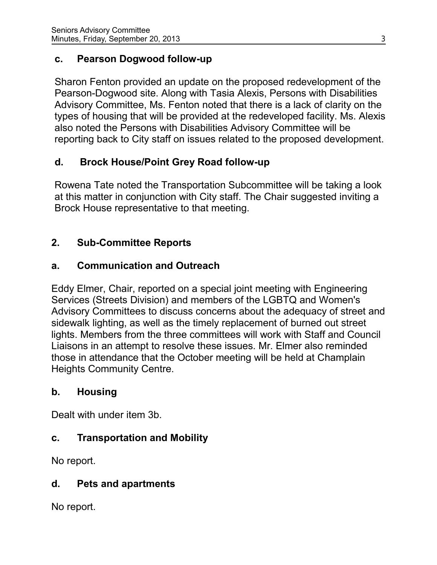### **c. Pearson Dogwood follow-up**

Sharon Fenton provided an update on the proposed redevelopment of the Pearson-Dogwood site. Along with Tasia Alexis, Persons with Disabilities Advisory Committee, Ms. Fenton noted that there is a lack of clarity on the types of housing that will be provided at the redeveloped facility. Ms. Alexis also noted the Persons with Disabilities Advisory Committee will be reporting back to City staff on issues related to the proposed development.

# **d. Brock House/Point Grey Road follow-up**

Rowena Tate noted the Transportation Subcommittee will be taking a look at this matter in conjunction with City staff. The Chair suggested inviting a Brock House representative to that meeting.

# **2. Sub-Committee Reports**

# **a. Communication and Outreach**

Eddy Elmer, Chair, reported on a special joint meeting with Engineering Services (Streets Division) and members of the LGBTQ and Women's Advisory Committees to discuss concerns about the adequacy of street and sidewalk lighting, as well as the timely replacement of burned out street lights. Members from the three committees will work with Staff and Council Liaisons in an attempt to resolve these issues. Mr. Elmer also reminded those in attendance that the October meeting will be held at Champlain Heights Community Centre.

# **b. Housing**

Dealt with under item 3b.

# **c. Transportation and Mobility**

No report.

# **d. Pets and apartments**

No report.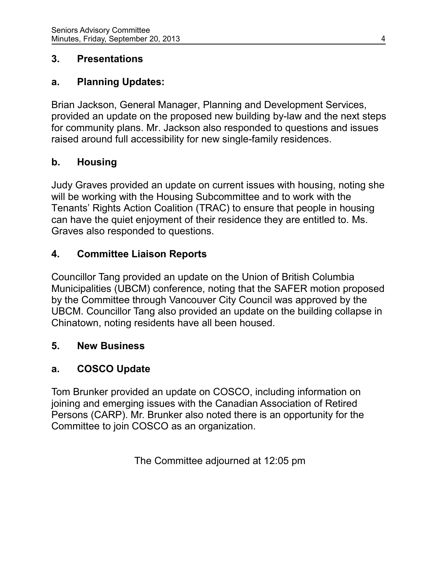### **3. Presentations**

### **a. Planning Updates:**

Brian Jackson, General Manager, Planning and Development Services, provided an update on the proposed new building by-law and the next steps for community plans. Mr. Jackson also responded to questions and issues raised around full accessibility for new single-family residences.

## **b. Housing**

Judy Graves provided an update on current issues with housing, noting she will be working with the Housing Subcommittee and to work with the Tenants' Rights Action Coalition (TRAC) to ensure that people in housing can have the quiet enjoyment of their residence they are entitled to. Ms. Graves also responded to questions.

## **4. Committee Liaison Reports**

Councillor Tang provided an update on the Union of British Columbia Municipalities (UBCM) conference, noting that the SAFER motion proposed by the Committee through Vancouver City Council was approved by the UBCM. Councillor Tang also provided an update on the building collapse in Chinatown, noting residents have all been housed.

### **5. New Business**

### **a. COSCO Update**

Tom Brunker provided an update on COSCO, including information on joining and emerging issues with the Canadian Association of Retired Persons (CARP). Mr. Brunker also noted there is an opportunity for the Committee to join COSCO as an organization.

The Committee adjourned at 12:05 pm